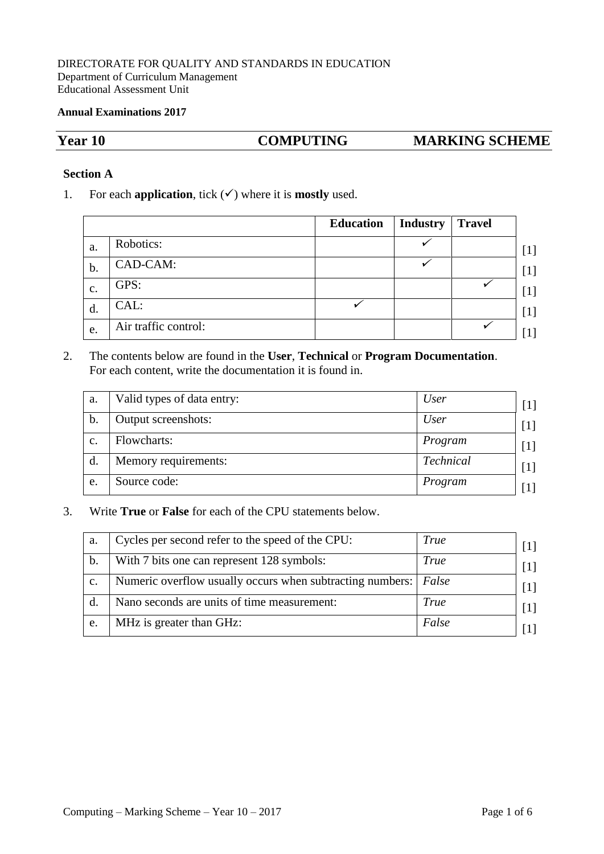#### DIRECTORATE FOR QUALITY AND STANDARDS IN EDUCATION Department of Curriculum Management Educational Assessment Unit

#### **Annual Examinations 2017**

## **Year 10 COMPUTING MARKING SCHEME**

#### **Section A**

1. For each **application**, tick  $(\checkmark)$  where it is **mostly** used.

|    |                      | <b>Education</b> | <b>Industry</b> | <b>Travel</b> |
|----|----------------------|------------------|-----------------|---------------|
| a. | Robotics:            |                  |                 |               |
| b. | CAD-CAM:             |                  |                 |               |
| c. | GPS:                 |                  |                 |               |
| d. | CAL:                 |                  |                 |               |
| e. | Air traffic control: |                  |                 |               |

## 2. The contents below are found in the **User**, **Technical** or **Program Documentation**. For each content, write the documentation it is found in.

| a. | Valid types of data entry: | <i>User</i> |
|----|----------------------------|-------------|
| b. | Output screenshots:        | <i>User</i> |
| c. | Flowcharts:                | Program     |
| d. | Memory requirements:       | Technical   |
| e. | Source code:               | Program     |

3. Write **True** or **False** for each of the CPU statements below.

| a.             | Cycles per second refer to the speed of the CPU:                  | <i>True</i> | $\lceil 1 \rceil$ |
|----------------|-------------------------------------------------------------------|-------------|-------------------|
| b.             | With 7 bits one can represent 128 symbols:                        | <b>True</b> | $\lceil 1 \rceil$ |
| $\mathbf{c}$ . | Numeric overflow usually occurs when subtracting numbers:   False |             | [1]               |
|                | Nano seconds are units of time measurement:                       | True        | $\lceil 1 \rceil$ |
| e.             | MHz is greater than GHz:                                          | False       |                   |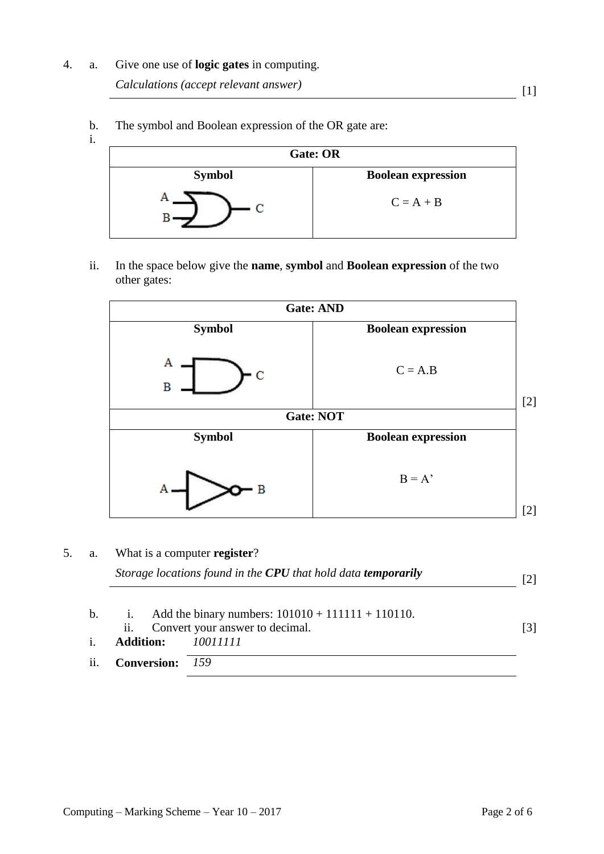# 4. a. Give one use of **logic gates** in computing.

*Calculations (accept relevant answer)* [1]

- **Gate: OR Symbol Boolean expression** А  $C = A + B$  $\overline{c}$ B
- b. i. The symbol and Boolean expression of the OR gate are:

ii. In the space below give the **name**, **symbol** and **Boolean expression** of the two other gates:

|               | <b>Gate: AND</b>          |       |
|---------------|---------------------------|-------|
| <b>Symbol</b> | <b>Boolean expression</b> |       |
| Α<br>c<br>B   | $C = A.B$                 | $[2]$ |
|               | <b>Gate: NOT</b>          |       |
| <b>Symbol</b> | <b>Boolean expression</b> |       |
| B             | $B = A'$                  | [2]   |

5. a. What is a computer **register**?

|     |                    | Storage locations found in the CPU that hold data temporarily                              | 121 |
|-----|--------------------|--------------------------------------------------------------------------------------------|-----|
| b.  | ii.                | i. Add the binary numbers: $101010 + 111111 + 110110$ .<br>Convert your answer to decimal. | 131 |
|     | <b>Addition:</b>   | 10011111                                                                                   |     |
| ii. | <b>Conversion:</b> | 159                                                                                        |     |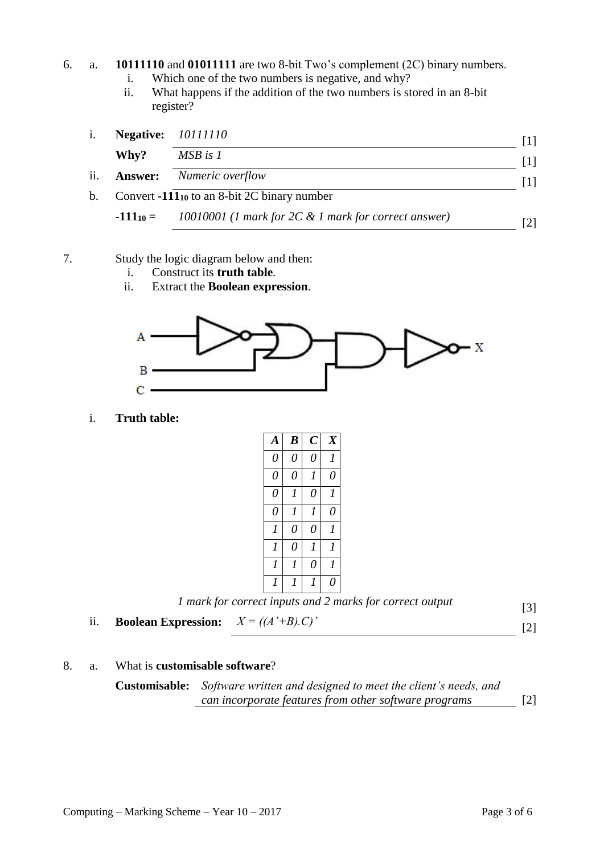## 6. a. **10111110** and **01011111** are two 8-bit Two's complement (2C) binary numbers.

- i. Which one of the two numbers is negative, and why?
- ii. What happens if the addition of the two numbers is stored in an 8-bit register?

| 1.  |      | <b>Negative:</b> 10111110                                          |  |
|-----|------|--------------------------------------------------------------------|--|
|     | Why? | $MSB$ is $1$                                                       |  |
| ii. |      | <b>Answer:</b> Numeric overflow                                    |  |
| b.  |      | Convert $-111_{10}$ to an 8-bit 2C binary number                   |  |
|     |      | $-111_{10} =$ 10010001 (1 mark for 2C & 1 mark for correct answer) |  |

- 7. Study the logic diagram below and then:
	- i. Construct its **truth table**.
	- ii. Extract the **Boolean expression**.



i. **Truth table:**

| A              | $\boldsymbol{B}$ | $\overline{C}$ | $\overline{X}$ |
|----------------|------------------|----------------|----------------|
| 0              | $\theta$         | $\theta$       | 1              |
| 0              | $\theta$         | 1              | 0              |
| 0              | 1                | 0              | 1              |
| $\theta$       | $\overline{I}$   | $\overline{I}$ | 0              |
| 1              | $\theta$         | 0              | 1              |
| $\overline{I}$ | $\theta$         | 1              | 1              |
| $\overline{I}$ | 1                | 0              | 1              |
| 1              | 1                | 1              | 0              |
|                |                  | 7              |                |

|                                                      | 1 mark for correct inputs and 2 marks for correct output | $\lceil 3 \rceil$ |
|------------------------------------------------------|----------------------------------------------------------|-------------------|
| <b>Boolean Expression:</b> $X = ((A' + B) \cdot C)'$ |                                                          | [2]               |

8. a. What is **customisable software**?

**Customisable:** *Software written and designed to meet the client's needs, and can incorporate features from other software programs* [2]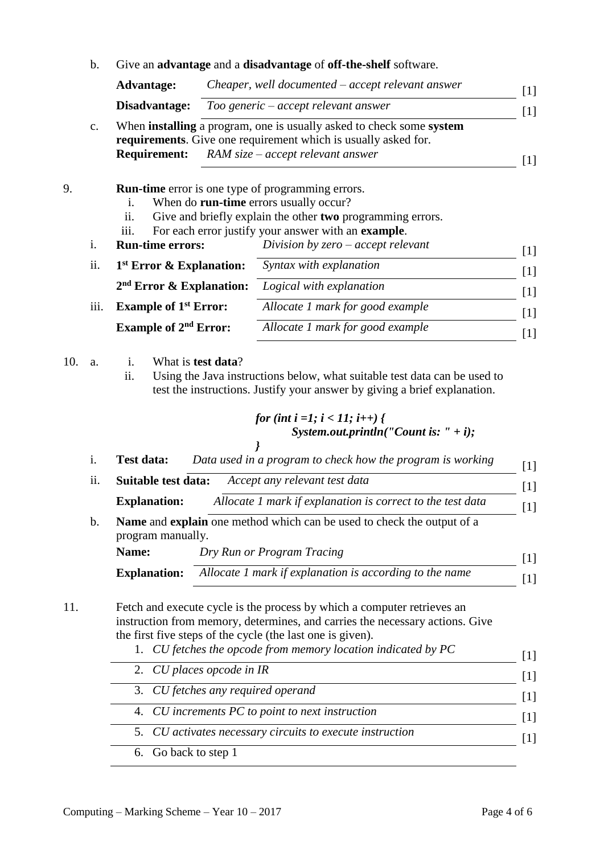|           | <b>Advantage:</b>                                                                                                       | Cheaper, well documented – accept relevant answer                                                                                                      |
|-----------|-------------------------------------------------------------------------------------------------------------------------|--------------------------------------------------------------------------------------------------------------------------------------------------------|
|           | Disadvantage:                                                                                                           | Too generic – accept relevant answer                                                                                                                   |
| c.        |                                                                                                                         | When <b>installing</b> a program, one is usually asked to check some system<br>requirements. Give one requirement which is usually asked for.          |
|           | <b>Requirement:</b>                                                                                                     | $RAM size - accept relevant answer$                                                                                                                    |
|           | <b>Run-time</b> error is one type of programming errors.<br>When do run-time errors usually occur?<br>i.<br>11.<br>iii. | Give and briefly explain the other two programming errors.<br>For each error justify your answer with an example.                                      |
| i.        | <b>Run-time errors:</b>                                                                                                 | Division by $zero - accept$ relevant                                                                                                                   |
| ii.       | $1st$ Error & Explanation:                                                                                              | Syntax with explanation                                                                                                                                |
|           | $2nd$ Error & Explanation:                                                                                              | Logical with explanation                                                                                                                               |
| iii.      | <b>Example of 1st Error:</b>                                                                                            | Allocate 1 mark for good example                                                                                                                       |
|           | <b>Example of 2<sup>nd</sup> Error:</b>                                                                                 | Allocate 1 mark for good example                                                                                                                       |
| 10.<br>a. | What is <b>test data</b> ?<br>i.<br>ii.                                                                                 | Using the Java instructions below, what suitable test data can be used to<br>test the instructions. Justify your answer by giving a brief explanation. |

*for* (*int* 
$$
t = 1
$$
;  $t < 11$ ;  $t++$ ) {  
System.out.println("Count is: " + *i*);

- 5. *CU activates necessary circuits to execute instruction* [1]
	- 6. Go back to step 1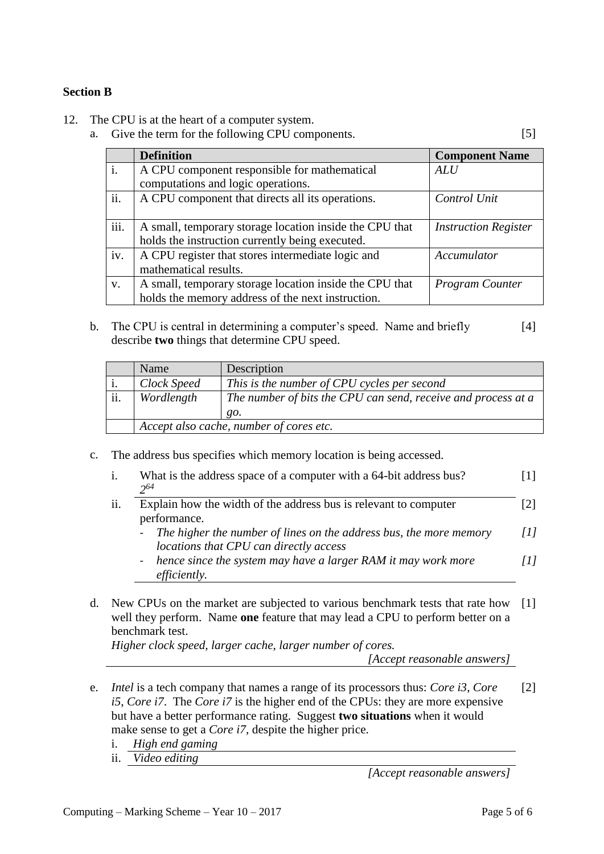## **Section B**

- 12. The CPU is at the heart of a computer system.
	- a. Give the term for the following CPU components. [5]

|      | <b>Definition</b>                                       | <b>Component Name</b>       |
|------|---------------------------------------------------------|-----------------------------|
| i.   | A CPU component responsible for mathematical            | <b>ALU</b>                  |
|      | computations and logic operations.                      |                             |
| ii.  | A CPU component that directs all its operations.        | Control Unit                |
|      |                                                         |                             |
| iii. | A small, temporary storage location inside the CPU that | <b>Instruction Register</b> |
|      | holds the instruction currently being executed.         |                             |
| iv.  | A CPU register that stores intermediate logic and       | Accumulator                 |
|      | mathematical results.                                   |                             |
| V.   | A small, temporary storage location inside the CPU that | <b>Program Counter</b>      |
|      | holds the memory address of the next instruction.       |                             |

b. The CPU is central in determining a computer's speed. Name and briefly describe **two** things that determine CPU speed. [4]

|     | Name                                    | Description                                                   |
|-----|-----------------------------------------|---------------------------------------------------------------|
|     | Clock Speed                             | This is the number of CPU cycles per second                   |
| ii. | Wordlength                              | The number of bits the CPU can send, receive and process at a |
|     |                                         | <i>go.</i>                                                    |
|     | Accept also cache, number of cores etc. |                                                               |

c. The address bus specifies which memory location is being accessed.

| i.  | What is the address space of a computer with a 64-bit address bus?<br>$2^{64}$                                 |     |
|-----|----------------------------------------------------------------------------------------------------------------|-----|
| ii. | Explain how the width of the address bus is relevant to computer<br>performance.                               |     |
|     | - The higher the number of lines on the address bus, the more memory<br>locations that CPU can directly access | [1] |
|     | - hence since the system may have a larger RAM it may work more<br><i>efficiently.</i>                         | Ш   |

d. New CPUs on the market are subjected to various benchmark tests that rate how [1] well they perform. Name **one** feature that may lead a CPU to perform better on a benchmark test.

*Higher clock speed, larger cache, larger number of cores.*

*[Accept reasonable answers]*

- e. *Intel* is a tech company that names a range of its processors thus: *Core i3*, *Core i5*, *Core i7*. The *Core i7* is the higher end of the CPUs: they are more expensive but have a better performance rating. Suggest **two situations** when it would make sense to get a *Core i7*, despite the higher price. [2]
	- i. *High end gaming*
	- ii. *Video editing*

*[Accept reasonable answers]*